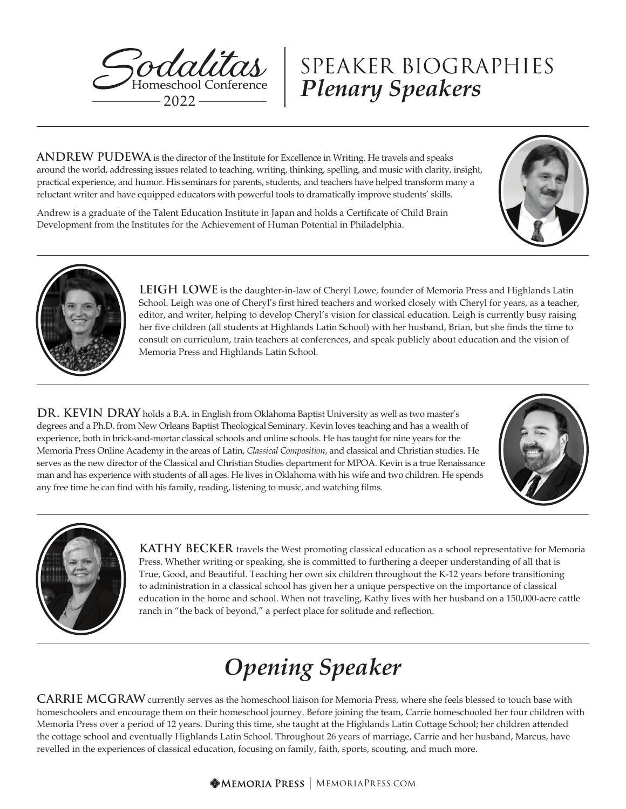

# *Plenary Speakers* SPEAKER BIOGRAPHIES

**ANDREW PUDEWA** is the director of the Institute for Excellence in Writing. He travels and speaks around the world, addressing issues related to teaching, writing, thinking, spelling, and music with clarity, insight, practical experience, and humor. His seminars for parents, students, and teachers have helped transform many a reluctant writer and have equipped educators with powerful tools to dramatically improve students' skills.

Andrew is a graduate of the Talent Education Institute in Japan and holds a Certificate of Child Brain Development from the Institutes for the Achievement of Human Potential in Philadelphia.





**LEIGH LOWE** is the daughter-in-law of Cheryl Lowe, founder of Memoria Press and Highlands Latin School. Leigh was one of Cheryl's first hired teachers and worked closely with Cheryl for years, as a teacher, editor, and writer, helping to develop Cheryl's vision for classical education. Leigh is currently busy raising her five children (all students at Highlands Latin School) with her husband, Brian, but she finds the time to consult on curriculum, train teachers at conferences, and speak publicly about education and the vision of Memoria Press and Highlands Latin School.

**DR. KEVIN DRAY** holds a B.A. in English from Oklahoma Baptist University as well as two master's degrees and a Ph.D. from New Orleans Baptist Theological Seminary. Kevin loves teaching and has a wealth of experience, both in brick-and-mortar classical schools and online schools. He has taught for nine years for the Memoria Press Online Academy in the areas of Latin, *Classical Composition*, and classical and Christian studies. He serves as the new director of the Classical and Christian Studies department for MPOA. Kevin is a true Renaissance man and has experience with students of all ages. He lives in Oklahoma with his wife and two children. He spends any free time he can find with his family, reading, listening to music, and watching films.





**KATHY BECKER** travels the West promoting classical education as a school representative for Memoria Press. Whether writing or speaking, she is committed to furthering a deeper understanding of all that is True, Good, and Beautiful. Teaching her own six children throughout the K-12 years before transitioning to administration in a classical school has given her a unique perspective on the importance of classical education in the home and school. When not traveling, Kathy lives with her husband on a 150,000-acre cattle ranch in "the back of beyond," a perfect place for solitude and reflection.

# *Opening Speaker*

**CARRIE MCGRAW** currently serves as the homeschool liaison for Memoria Press, where she feels blessed to touch base with homeschoolers and encourage them on their homeschool journey. Before joining the team, Carrie homeschooled her four children with Memoria Press over a period of 12 years. During this time, she taught at the Highlands Latin Cottage School; her children attended the cottage school and eventually Highlands Latin School. Throughout 26 years of marriage, Carrie and her husband, Marcus, have revelled in the experiences of classical education, focusing on family, faith, sports, scouting, and much more.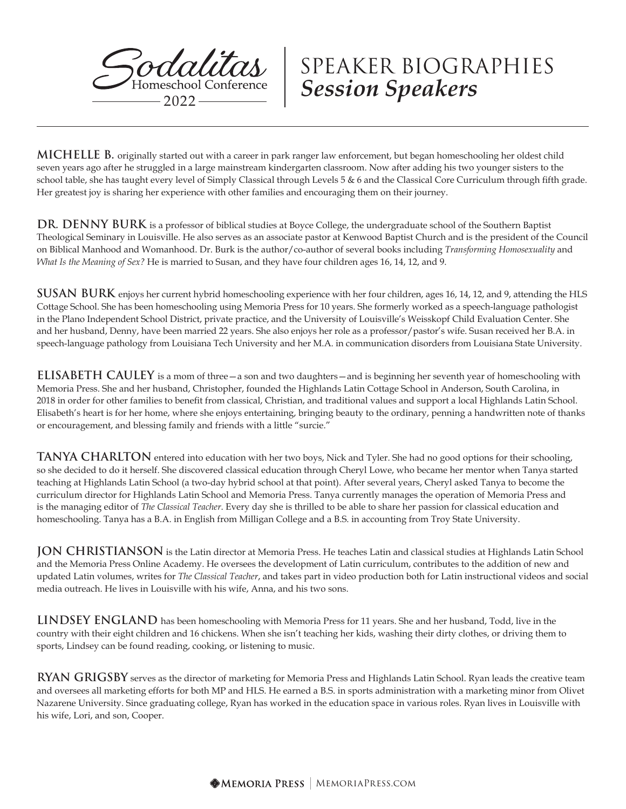

**MICHELLE B.** originally started out with a career in park ranger law enforcement, but began homeschooling her oldest child seven years ago after he struggled in a large mainstream kindergarten classroom. Now after adding his two younger sisters to the school table, she has taught every level of Simply Classical through Levels 5 & 6 and the Classical Core Curriculum through fifth grade. Her greatest joy is sharing her experience with other families and encouraging them on their journey.

**DR. DENNY BURK** is a professor of biblical studies at Boyce College, the undergraduate school of the Southern Baptist Theological Seminary in Louisville. He also serves as an associate pastor at Kenwood Baptist Church and is the president of the Council on Biblical Manhood and Womanhood. Dr. Burk is the author/co-author of several books including *Transforming Homosexuality* and *What Is the Meaning of Sex?* He is married to Susan, and they have four children ages 16, 14, 12, and 9.

**SUSAN BURK** enjoys her current hybrid homeschooling experience with her four children, ages 16, 14, 12, and 9, attending the HLS Cottage School. She has been homeschooling using Memoria Press for 10 years. She formerly worked as a speech-language pathologist in the Plano Independent School District, private practice, and the University of Louisville's Weisskopf Child Evaluation Center. She and her husband, Denny, have been married 22 years. She also enjoys her role as a professor/pastor's wife. Susan received her B.A. in speech-language pathology from Louisiana Tech University and her M.A. in communication disorders from Louisiana State University.

**ELISABETH CAULEY** is a mom of three—a son and two daughters—and is beginning her seventh year of homeschooling with Memoria Press. She and her husband, Christopher, founded the Highlands Latin Cottage School in Anderson, South Carolina, in 2018 in order for other families to benefit from classical, Christian, and traditional values and support a local Highlands Latin School. Elisabeth's heart is for her home, where she enjoys entertaining, bringing beauty to the ordinary, penning a handwritten note of thanks or encouragement, and blessing family and friends with a little "surcie."

**TANYA CHARLTON** entered into education with her two boys, Nick and Tyler. She had no good options for their schooling, so she decided to do it herself. She discovered classical education through Cheryl Lowe, who became her mentor when Tanya started teaching at Highlands Latin School (a two-day hybrid school at that point). After several years, Cheryl asked Tanya to become the curriculum director for Highlands Latin School and Memoria Press. Tanya currently manages the operation of Memoria Press and is the managing editor of *The Classical Teacher*. Every day she is thrilled to be able to share her passion for classical education and homeschooling. Tanya has a B.A. in English from Milligan College and a B.S. in accounting from Troy State University.

**JON CHRISTIANSON** is the Latin director at Memoria Press. He teaches Latin and classical studies at Highlands Latin School and the Memoria Press Online Academy. He oversees the development of Latin curriculum, contributes to the addition of new and updated Latin volumes, writes for *The Classical Teacher*, and takes part in video production both for Latin instructional videos and social media outreach. He lives in Louisville with his wife, Anna, and his two sons.

**LINDSEY ENGLAND** has been homeschooling with Memoria Press for 11 years. She and her husband, Todd, live in the country with their eight children and 16 chickens. When she isn't teaching her kids, washing their dirty clothes, or driving them to sports, Lindsey can be found reading, cooking, or listening to music.

**RYAN GRIGSBY** serves as the director of marketing for Memoria Press and Highlands Latin School. Ryan leads the creative team and oversees all marketing efforts for both MP and HLS. He earned a B.S. in sports administration with a marketing minor from Olivet Nazarene University. Since graduating college, Ryan has worked in the education space in various roles. Ryan lives in Louisville with his wife, Lori, and son, Cooper.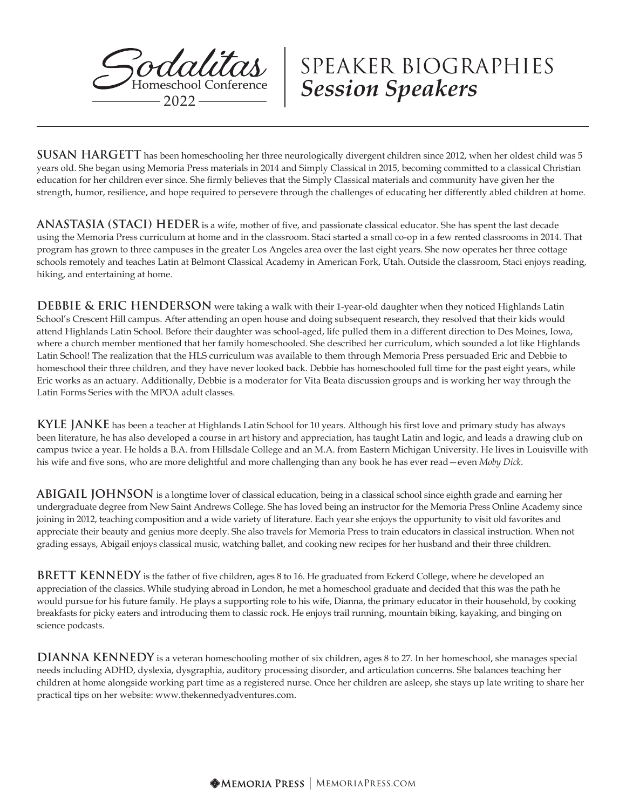

**SUSAN HARGETT** has been homeschooling her three neurologically divergent children since 2012, when her oldest child was 5 years old. She began using Memoria Press materials in 2014 and Simply Classical in 2015, becoming committed to a classical Christian education for her children ever since. She firmly believes that the Simply Classical materials and community have given her the strength, humor, resilience, and hope required to persevere through the challenges of educating her differently abled children at home.

**ANASTASIA (STACI) HEDER** is a wife, mother of five, and passionate classical educator. She has spent the last decade using the Memoria Press curriculum at home and in the classroom. Staci started a small co-op in a few rented classrooms in 2014. That program has grown to three campuses in the greater Los Angeles area over the last eight years. She now operates her three cottage schools remotely and teaches Latin at Belmont Classical Academy in American Fork, Utah. Outside the classroom, Staci enjoys reading, hiking, and entertaining at home.

**DEBBIE & ERIC HENDERSON** were taking a walk with their 1-year-old daughter when they noticed Highlands Latin School's Crescent Hill campus. After attending an open house and doing subsequent research, they resolved that their kids would attend Highlands Latin School. Before their daughter was school-aged, life pulled them in a different direction to Des Moines, Iowa, where a church member mentioned that her family homeschooled. She described her curriculum, which sounded a lot like Highlands Latin School! The realization that the HLS curriculum was available to them through Memoria Press persuaded Eric and Debbie to homeschool their three children, and they have never looked back. Debbie has homeschooled full time for the past eight years, while Eric works as an actuary. Additionally, Debbie is a moderator for Vita Beata discussion groups and is working her way through the Latin Forms Series with the MPOA adult classes.

**KYLE JANKE** has been a teacher at Highlands Latin School for 10 years. Although his first love and primary study has always been literature, he has also developed a course in art history and appreciation, has taught Latin and logic, and leads a drawing club on campus twice a year. He holds a B.A. from Hillsdale College and an M.A. from Eastern Michigan University. He lives in Louisville with his wife and five sons, who are more delightful and more challenging than any book he has ever read—even *Moby Dick*.

**ABIGAIL JOHNSON** is a longtime lover of classical education, being in a classical school since eighth grade and earning her undergraduate degree from New Saint Andrews College. She has loved being an instructor for the Memoria Press Online Academy since joining in 2012, teaching composition and a wide variety of literature. Each year she enjoys the opportunity to visit old favorites and appreciate their beauty and genius more deeply. She also travels for Memoria Press to train educators in classical instruction. When not grading essays, Abigail enjoys classical music, watching ballet, and cooking new recipes for her husband and their three children.

**BRETT KENNEDY** is the father of five children, ages 8 to 16. He graduated from Eckerd College, where he developed an appreciation of the classics. While studying abroad in London, he met a homeschool graduate and decided that this was the path he would pursue for his future family. He plays a supporting role to his wife, Dianna, the primary educator in their household, by cooking breakfasts for picky eaters and introducing them to classic rock. He enjoys trail running, mountain biking, kayaking, and binging on science podcasts.

**DIANNA KENNEDY** is a veteran homeschooling mother of six children, ages 8 to 27. In her homeschool, she manages special needs including ADHD, dyslexia, dysgraphia, auditory processing disorder, and articulation concerns. She balances teaching her children at home alongside working part time as a registered nurse. Once her children are asleep, she stays up late writing to share her practical tips on her website: www.thekennedyadventures.com.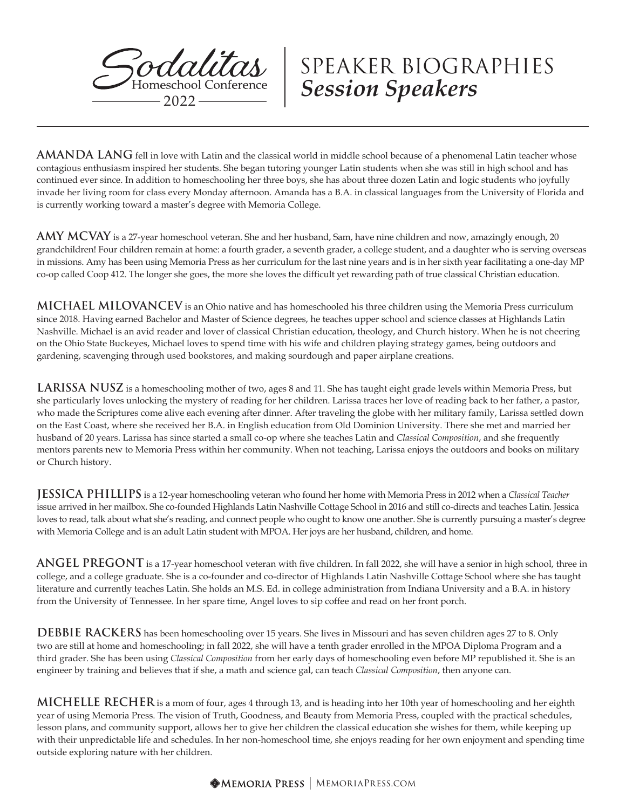

**AMANDA LANG** fell in love with Latin and the classical world in middle school because of a phenomenal Latin teacher whose contagious enthusiasm inspired her students. She began tutoring younger Latin students when she was still in high school and has continued ever since. In addition to homeschooling her three boys, she has about three dozen Latin and logic students who joyfully invade her living room for class every Monday afternoon. Amanda has a B.A. in classical languages from the University of Florida and is currently working toward a master's degree with Memoria College.

**AMY MCVAY** is a 27-year homeschool veteran. She and her husband, Sam, have nine children and now, amazingly enough, 20 grandchildren! Four children remain at home: a fourth grader, a seventh grader, a college student, and a daughter who is serving overseas in missions. Amy has been using Memoria Press as her curriculum for the last nine years and is in her sixth year facilitating a one-day MP co-op called Coop 412. The longer she goes, the more she loves the difficult yet rewarding path of true classical Christian education.

**MICHAEL MILOVANCEV** is an Ohio native and has homeschooled his three children using the Memoria Press curriculum since 2018. Having earned Bachelor and Master of Science degrees, he teaches upper school and science classes at Highlands Latin Nashville. Michael is an avid reader and lover of classical Christian education, theology, and Church history. When he is not cheering on the Ohio State Buckeyes, Michael loves to spend time with his wife and children playing strategy games, being outdoors and gardening, scavenging through used bookstores, and making sourdough and paper airplane creations.

**LARISSA NUSZ** is a homeschooling mother of two, ages 8 and 11. She has taught eight grade levels within Memoria Press, but she particularly loves unlocking the mystery of reading for her children. Larissa traces her love of reading back to her father, a pastor, who made the Scriptures come alive each evening after dinner. After traveling the globe with her military family, Larissa settled down on the East Coast, where she received her B.A. in English education from Old Dominion University. There she met and married her husband of 20 years. Larissa has since started a small co-op where she teaches Latin and *Classical Composition*, and she frequently mentors parents new to Memoria Press within her community. When not teaching, Larissa enjoys the outdoors and books on military or Church history.

**JESSICA PHILLIPS** is a 12-year homeschooling veteran who found her home with Memoria Press in 2012 when a *Classical Teacher* issue arrived in her mailbox. She co-founded Highlands Latin Nashville Cottage School in 2016 and still co-directs and teaches Latin. Jessica loves to read, talk about what she's reading, and connect people who ought to know one another. She is currently pursuing a master's degree with Memoria College and is an adult Latin student with MPOA. Her joys are her husband, children, and home.

**ANGEL PREGONT** is a 17-year homeschool veteran with five children. In fall 2022, she will have a senior in high school, three in college, and a college graduate. She is a co-founder and co-director of Highlands Latin Nashville Cottage School where she has taught literature and currently teaches Latin. She holds an M.S. Ed. in college administration from Indiana University and a B.A. in history from the University of Tennessee. In her spare time, Angel loves to sip coffee and read on her front porch.

**DEBBIE RACKERS** has been homeschooling over 15 years. She lives in Missouri and has seven children ages 27 to 8. Only two are still at home and homeschooling; in fall 2022, she will have a tenth grader enrolled in the MPOA Diploma Program and a third grader. She has been using *Classical Composition* from her early days of homeschooling even before MP republished it. She is an engineer by training and believes that if she, a math and science gal, can teach *Classical Composition*, then anyone can.

**MICHELLE RECHER** is a mom of four, ages 4 through 13, and is heading into her 10th year of homeschooling and her eighth year of using Memoria Press. The vision of Truth, Goodness, and Beauty from Memoria Press, coupled with the practical schedules, lesson plans, and community support, allows her to give her children the classical education she wishes for them, while keeping up with their unpredictable life and schedules. In her non-homeschool time, she enjoys reading for her own enjoyment and spending time outside exploring nature with her children.

**MEMORIA PRESS** | MEMORIAPRESS.COM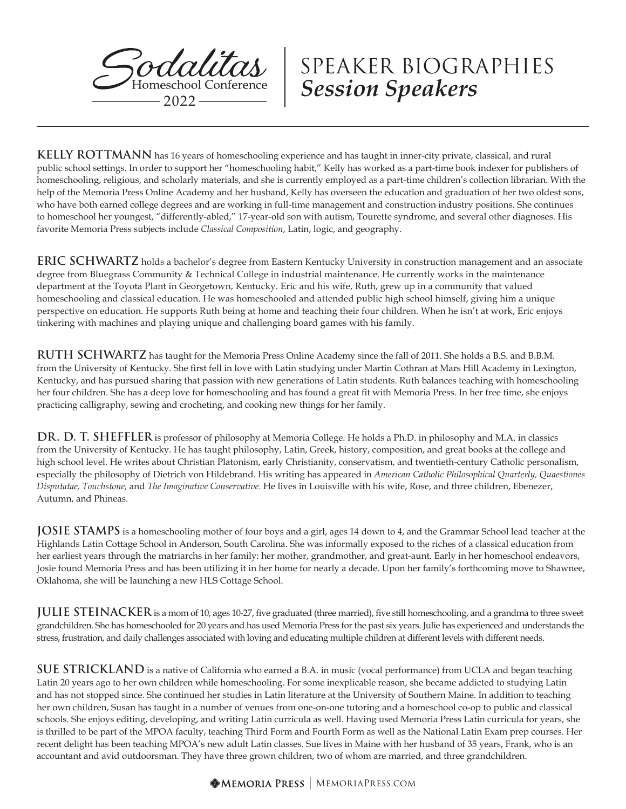

**KELLY ROTTMANN** has 16 years of homeschooling experience and has taught in inner-city private, classical, and rural public school settings. In order to support her "homeschooling habit," Kelly has worked as a part-time book indexer for publishers of homeschooling, religious, and scholarly materials, and she is currently employed as a part-time children's collection librarian. With the help of the Memoria Press Online Academy and her husband, Kelly has overseen the education and graduation of her two oldest sons, who have both earned college degrees and are working in full-time management and construction industry positions. She continues to homeschool her youngest, "differently-abled," 17-year-old son with autism, Tourette syndrome, and several other diagnoses. His favorite Memoria Press subjects include *Classical Composition*, Latin, logic, and geography.

**ERIC SCHWARTZ** holds a bachelor's degree from Eastern Kentucky University in construction management and an associate degree from Bluegrass Community & Technical College in industrial maintenance. He currently works in the maintenance department at the Toyota Plant in Georgetown, Kentucky. Eric and his wife, Ruth, grew up in a community that valued homeschooling and classical education. He was homeschooled and attended public high school himself, giving him a unique perspective on education. He supports Ruth being at home and teaching their four children. When he isn't at work, Eric enjoys tinkering with machines and playing unique and challenging board games with his family.

**RUTH SCHWARTZ** has taught for the Memoria Press Online Academy since the fall of 2011. She holds a B.S. and B.B.M. from the University of Kentucky. She first fell in love with Latin studying under Martin Cothran at Mars Hill Academy in Lexington, Kentucky, and has pursued sharing that passion with new generations of Latin students. Ruth balances teaching with homeschooling her four children. She has a deep love for homeschooling and has found a great fit with Memoria Press. In her free time, she enjoys practicing calligraphy, sewing and crocheting, and cooking new things for her family.

**DR. D. T. SHEFFLER** is professor of philosophy at Memoria College. He holds a Ph.D. in philosophy and M.A. in classics from the University of Kentucky. He has taught philosophy, Latin, Greek, history, composition, and great books at the college and high school level. He writes about Christian Platonism, early Christianity, conservatism, and twentieth-century Catholic personalism, especially the philosophy of Dietrich von Hildebrand. His writing has appeared in *American Catholic Philosophical Quarterly, Quaestiones Disputatae, Touchstone,* and *The Imaginative Conservative*. He lives in Louisville with his wife, Rose, and three children, Ebenezer, Autumn, and Phineas.

**JOSIE STAMPS** is a homeschooling mother of four boys and a girl, ages 14 down to 4, and the Grammar School lead teacher at the Highlands Latin Cottage School in Anderson, South Carolina. She was informally exposed to the riches of a classical education from her earliest years through the matriarchs in her family: her mother, grandmother, and great-aunt. Early in her homeschool endeavors, Josie found Memoria Press and has been utilizing it in her home for nearly a decade. Upon her family's forthcoming move to Shawnee, Oklahoma, she will be launching a new HLS Cottage School.

**JULIE STEINACKER** is a mom of 10, ages 10-27, five graduated (three married), five still homeschooling, and a grandma to three sweet grandchildren. She has homeschooled for 20 years and has used Memoria Press for the past six years. Julie has experienced and understands the stress, frustration, and daily challenges associated with loving and educating multiple children at different levels with different needs.

**SUE STRICKLAND** is a native of California who earned a B.A. in music (vocal performance) from UCLA and began teaching Latin 20 years ago to her own children while homeschooling. For some inexplicable reason, she became addicted to studying Latin and has not stopped since. She continued her studies in Latin literature at the University of Southern Maine. In addition to teaching her own children, Susan has taught in a number of venues from one-on-one tutoring and a homeschool co-op to public and classical schools. She enjoys editing, developing, and writing Latin curricula as well. Having used Memoria Press Latin curricula for years, she is thrilled to be part of the MPOA faculty, teaching Third Form and Fourth Form as well as the National Latin Exam prep courses. Her recent delight has been teaching MPOA's new adult Latin classes. Sue lives in Maine with her husband of 35 years, Frank, who is an accountant and avid outdoorsman. They have three grown children, two of whom are married, and three grandchildren.